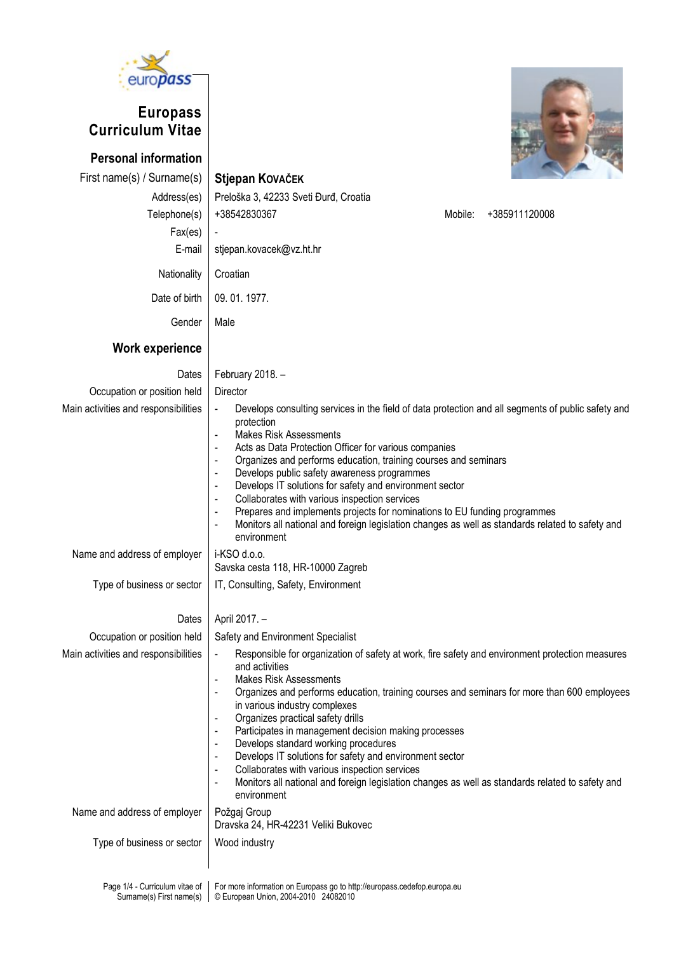

## Europass Curriculum Vitae

Personal information First name(s) / Surname(s) Stjepan KOVAČEK

Work experience

Address(es) Preloška 3, 42233 Sveti Đurđ, Croatia Telephone(s)  $| +38542830367$  $Fax(es)$  -E-mail stjepan.kovacek@vz.ht.hr Nationality Croatian Date of birth 09. 01. 1977. Gender | Male

|  | Mobile: +385911120008 |  |
|--|-----------------------|--|
|  |                       |  |
|  |                       |  |
|  |                       |  |

| Dates                                                      | February 2018. -                                                                                                                                                                                                                                                                                                                                                                                                                                                                                                                                                                                                                                                                                                                                                                                                                             |  |  |  |  |  |
|------------------------------------------------------------|----------------------------------------------------------------------------------------------------------------------------------------------------------------------------------------------------------------------------------------------------------------------------------------------------------------------------------------------------------------------------------------------------------------------------------------------------------------------------------------------------------------------------------------------------------------------------------------------------------------------------------------------------------------------------------------------------------------------------------------------------------------------------------------------------------------------------------------------|--|--|--|--|--|
| Occupation or position held                                | Director                                                                                                                                                                                                                                                                                                                                                                                                                                                                                                                                                                                                                                                                                                                                                                                                                                     |  |  |  |  |  |
| Main activities and responsibilities                       | Develops consulting services in the field of data protection and all segments of public safety and<br>$\blacksquare$<br>protection<br><b>Makes Risk Assessments</b><br>$\blacksquare$<br>Acts as Data Protection Officer for various companies<br>$\blacksquare$<br>Organizes and performs education, training courses and seminars<br>$\blacksquare$<br>Develops public safety awareness programmes<br>$\blacksquare$<br>Develops IT solutions for safety and environment sector<br>$\blacksquare$<br>Collaborates with various inspection services<br>$\blacksquare$<br>Prepares and implements projects for nominations to EU funding programmes<br>$\blacksquare$<br>Monitors all national and foreign legislation changes as well as standards related to safety and<br>$\sim$<br>environment                                           |  |  |  |  |  |
| Name and address of employer                               | i-KSO d.o.o.<br>Savska cesta 118, HR-10000 Zagreb                                                                                                                                                                                                                                                                                                                                                                                                                                                                                                                                                                                                                                                                                                                                                                                            |  |  |  |  |  |
| Type of business or sector                                 | IT, Consulting, Safety, Environment                                                                                                                                                                                                                                                                                                                                                                                                                                                                                                                                                                                                                                                                                                                                                                                                          |  |  |  |  |  |
| Dates                                                      | April 2017. -                                                                                                                                                                                                                                                                                                                                                                                                                                                                                                                                                                                                                                                                                                                                                                                                                                |  |  |  |  |  |
| Occupation or position held                                | Safety and Environment Specialist                                                                                                                                                                                                                                                                                                                                                                                                                                                                                                                                                                                                                                                                                                                                                                                                            |  |  |  |  |  |
| Main activities and responsibilities                       | Responsible for organization of safety at work, fire safety and environment protection measures<br>$\blacksquare$<br>and activities<br><b>Makes Risk Assessments</b><br>$\blacksquare$<br>Organizes and performs education, training courses and seminars for more than 600 employees<br>$\overline{\phantom{a}}$<br>in various industry complexes<br>Organizes practical safety drills<br>$\blacksquare$<br>Participates in management decision making processes<br>$\overline{\phantom{a}}$<br>Develops standard working procedures<br>$\blacksquare$<br>Develops IT solutions for safety and environment sector<br>$\blacksquare$<br>Collaborates with various inspection services<br>$\blacksquare$<br>Monitors all national and foreign legislation changes as well as standards related to safety and<br>$\blacksquare$<br>environment |  |  |  |  |  |
| Name and address of employer                               | Požgaj Group<br>Dravska 24, HR-42231 Veliki Bukovec                                                                                                                                                                                                                                                                                                                                                                                                                                                                                                                                                                                                                                                                                                                                                                                          |  |  |  |  |  |
| Type of business or sector                                 | Wood industry                                                                                                                                                                                                                                                                                                                                                                                                                                                                                                                                                                                                                                                                                                                                                                                                                                |  |  |  |  |  |
| Page 1/4 - Curriculum vitae of<br>Surname(s) First name(s) | For more information on Europass go to http://europass.cedefop.europa.eu<br>© European Union, 2004-2010 24082010                                                                                                                                                                                                                                                                                                                                                                                                                                                                                                                                                                                                                                                                                                                             |  |  |  |  |  |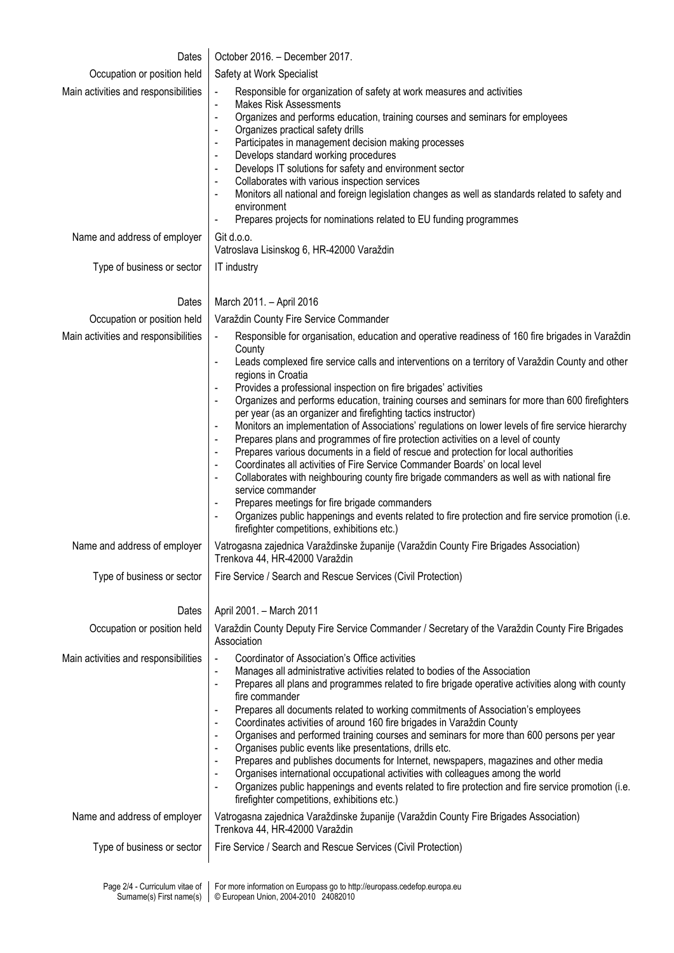| Dates                                                      | October 2016. - December 2017.                                                                                                                                                                                                                                                                                                                                                                                                                                                                                                                                                                                                                                                                                                                                                                                                                                                                                                                                                                                                                           |
|------------------------------------------------------------|----------------------------------------------------------------------------------------------------------------------------------------------------------------------------------------------------------------------------------------------------------------------------------------------------------------------------------------------------------------------------------------------------------------------------------------------------------------------------------------------------------------------------------------------------------------------------------------------------------------------------------------------------------------------------------------------------------------------------------------------------------------------------------------------------------------------------------------------------------------------------------------------------------------------------------------------------------------------------------------------------------------------------------------------------------|
| Occupation or position held                                | Safety at Work Specialist                                                                                                                                                                                                                                                                                                                                                                                                                                                                                                                                                                                                                                                                                                                                                                                                                                                                                                                                                                                                                                |
| Main activities and responsibilities                       | Responsible for organization of safety at work measures and activities<br>$\blacksquare$<br><b>Makes Risk Assessments</b><br>$\blacksquare$<br>Organizes and performs education, training courses and seminars for employees<br>$\blacksquare$<br>Organizes practical safety drills<br>Participates in management decision making processes<br>$\blacksquare$<br>Develops standard working procedures<br>$\blacksquare$<br>Develops IT solutions for safety and environment sector<br>$\blacksquare$<br>Collaborates with various inspection services<br>$\blacksquare$<br>Monitors all national and foreign legislation changes as well as standards related to safety and<br>environment<br>Prepares projects for nominations related to EU funding programmes<br>$\qquad \qquad \blacksquare$                                                                                                                                                                                                                                                         |
| Name and address of employer                               | Git d.o.o.<br>Vatroslava Lisinskog 6, HR-42000 Varaždin                                                                                                                                                                                                                                                                                                                                                                                                                                                                                                                                                                                                                                                                                                                                                                                                                                                                                                                                                                                                  |
| Type of business or sector                                 | IT industry                                                                                                                                                                                                                                                                                                                                                                                                                                                                                                                                                                                                                                                                                                                                                                                                                                                                                                                                                                                                                                              |
| Dates                                                      | March 2011. - April 2016                                                                                                                                                                                                                                                                                                                                                                                                                                                                                                                                                                                                                                                                                                                                                                                                                                                                                                                                                                                                                                 |
| Occupation or position held                                | Varaždin County Fire Service Commander                                                                                                                                                                                                                                                                                                                                                                                                                                                                                                                                                                                                                                                                                                                                                                                                                                                                                                                                                                                                                   |
| Main activities and responsibilities                       | Responsible for organisation, education and operative readiness of 160 fire brigades in Varaždin<br>$\blacksquare$<br>County<br>Leads complexed fire service calls and interventions on a territory of Varaždin County and other<br>$\frac{1}{2}$<br>regions in Croatia<br>Provides a professional inspection on fire brigades' activities<br>Organizes and performs education, training courses and seminars for more than 600 firefighters                                                                                                                                                                                                                                                                                                                                                                                                                                                                                                                                                                                                             |
|                                                            | per year (as an organizer and firefighting tactics instructor)<br>Monitors an implementation of Associations' regulations on lower levels of fire service hierarchy<br>Prepares plans and programmes of fire protection activities on a level of county<br>$\blacksquare$<br>Prepares various documents in a field of rescue and protection for local authorities<br>$\blacksquare$<br>Coordinates all activities of Fire Service Commander Boards' on local level<br>$\blacksquare$<br>Collaborates with neighbouring county fire brigade commanders as well as with national fire<br>$\blacksquare$<br>service commander<br>Prepares meetings for fire brigade commanders<br>Organizes public happenings and events related to fire protection and fire service promotion (i.e.<br>firefighter competitions, exhibitions etc.)                                                                                                                                                                                                                         |
| Name and address of employer                               | Vatrogasna zajednica Varaždinske županije (Varaždin County Fire Brigades Association)<br>Trenkova 44, HR-42000 Varaždin                                                                                                                                                                                                                                                                                                                                                                                                                                                                                                                                                                                                                                                                                                                                                                                                                                                                                                                                  |
| Type of business or sector                                 | Fire Service / Search and Rescue Services (Civil Protection)                                                                                                                                                                                                                                                                                                                                                                                                                                                                                                                                                                                                                                                                                                                                                                                                                                                                                                                                                                                             |
| Dates                                                      | April 2001. - March 2011                                                                                                                                                                                                                                                                                                                                                                                                                                                                                                                                                                                                                                                                                                                                                                                                                                                                                                                                                                                                                                 |
| Occupation or position held                                | Varaždin County Deputy Fire Service Commander / Secretary of the Varaždin County Fire Brigades<br>Association                                                                                                                                                                                                                                                                                                                                                                                                                                                                                                                                                                                                                                                                                                                                                                                                                                                                                                                                            |
| Main activities and responsibilities                       | Coordinator of Association's Office activities<br>$\blacksquare$<br>Manages all administrative activities related to bodies of the Association<br>Prepares all plans and programmes related to fire brigade operative activities along with county<br>$\blacksquare$<br>fire commander<br>Prepares all documents related to working commitments of Association's employees<br>$\blacksquare$<br>Coordinates activities of around 160 fire brigades in Varaždin County<br>$\overline{\phantom{0}}$<br>Organises and performed training courses and seminars for more than 600 persons per year<br>$\blacksquare$<br>Organises public events like presentations, drills etc.<br>$\overline{\phantom{a}}$<br>Prepares and publishes documents for Internet, newspapers, magazines and other media<br>$\blacksquare$<br>Organises international occupational activities with colleagues among the world<br>Organizes public happenings and events related to fire protection and fire service promotion (i.e.<br>firefighter competitions, exhibitions etc.) |
| Name and address of employer                               | Vatrogasna zajednica Varaždinske županije (Varaždin County Fire Brigades Association)<br>Trenkova 44, HR-42000 Varaždin                                                                                                                                                                                                                                                                                                                                                                                                                                                                                                                                                                                                                                                                                                                                                                                                                                                                                                                                  |
| Type of business or sector                                 | Fire Service / Search and Rescue Services (Civil Protection)                                                                                                                                                                                                                                                                                                                                                                                                                                                                                                                                                                                                                                                                                                                                                                                                                                                                                                                                                                                             |
| Page 2/4 - Curriculum vitae of<br>Surname(s) First name(s) | For more information on Europass go to http://europass.cedefop.europa.eu<br>© European Union, 2004-2010 24082010                                                                                                                                                                                                                                                                                                                                                                                                                                                                                                                                                                                                                                                                                                                                                                                                                                                                                                                                         |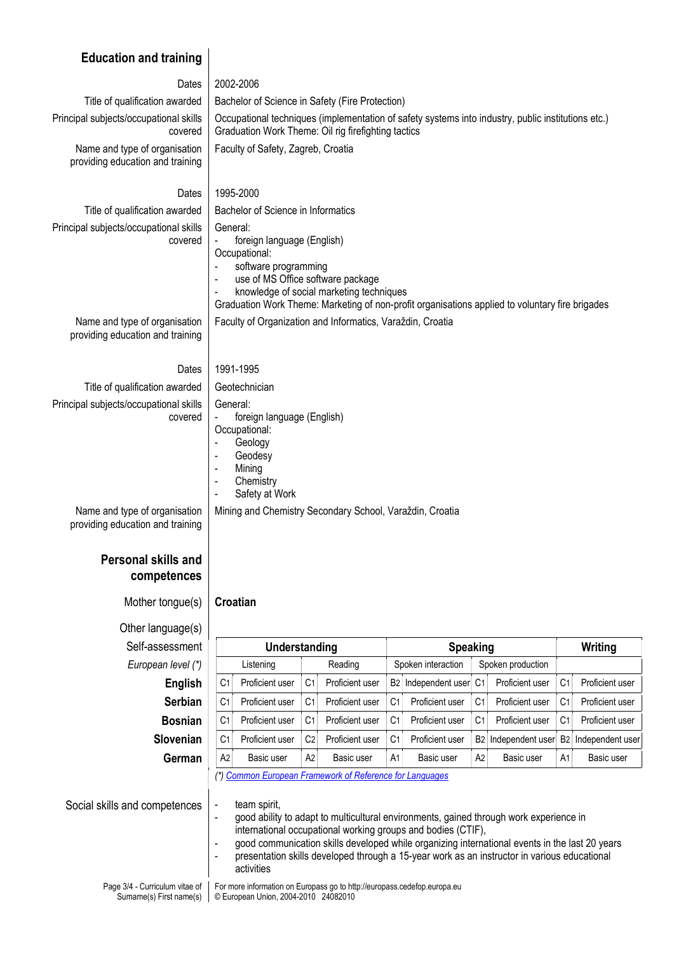## Education and training

| Dates                                                             | 2002-2006                                                                                                                                                                                                                                                                                                                   |  |  |  |  |
|-------------------------------------------------------------------|-----------------------------------------------------------------------------------------------------------------------------------------------------------------------------------------------------------------------------------------------------------------------------------------------------------------------------|--|--|--|--|
| Title of qualification awarded                                    | Bachelor of Science in Safety (Fire Protection)                                                                                                                                                                                                                                                                             |  |  |  |  |
| Principal subjects/occupational skills<br>covered                 | Occupational techniques (implementation of safety systems into industry, public institutions etc.)<br>Graduation Work Theme: Oil rig firefighting tactics                                                                                                                                                                   |  |  |  |  |
| Name and type of organisation<br>providing education and training | Faculty of Safety, Zagreb, Croatia                                                                                                                                                                                                                                                                                          |  |  |  |  |
| Dates                                                             | 1995-2000                                                                                                                                                                                                                                                                                                                   |  |  |  |  |
| Title of qualification awarded                                    | Bachelor of Science in Informatics                                                                                                                                                                                                                                                                                          |  |  |  |  |
| Principal subjects/occupational skills<br>covered                 | General:<br>foreign language (English)<br>Occupational:<br>software programming<br>use of MS Office software package<br>$\overline{\phantom{a}}$<br>knowledge of social marketing techniques<br>$\overline{\phantom{a}}$<br>Graduation Work Theme: Marketing of non-profit organisations applied to voluntary fire brigades |  |  |  |  |

Faculty of Organization and Informatics, Varaždin, Croatia

Name and type of organisation providing education and training

Dates 1991-1995

Title of qualification awarded | Geotechnician Principal subjects/occupational skills covered

- General: foreign language (English)
- Occupational:
- Geology<br>- Geodesy
- Geodesy<br>- Mining **Mining**
- Chemistry
- Safety at Work
- Mining and Chemistry Secondary School, Varaždin, Croatia

Name and type of organisation providing education and training

## Personal skills and competences

Mother tongue(s)  $\vert$  Croatian

Other language(s) Self-assessment European level (\*)

| ssessment        |                                                          | Understanding   |                |                 | <b>Speaking</b>    |                  |                   |                  |                | Writing          |  |
|------------------|----------------------------------------------------------|-----------------|----------------|-----------------|--------------------|------------------|-------------------|------------------|----------------|------------------|--|
| ean level (*)    |                                                          | Listening       | Reading        |                 | Spoken interaction |                  | Spoken production |                  |                |                  |  |
| English          | C1                                                       | Proficient user | C <sub>1</sub> | Proficient user | B2                 | Independent user | C <sub>1</sub>    | Proficient user  | C1             | Proficient user  |  |
| <b>Serbian</b>   | C1                                                       | Proficient user | C <sub>1</sub> | Proficient user | C <sub>1</sub>     | Proficient user  | C <sub>1</sub>    | Proficient user  | C1             | Proficient user  |  |
| <b>Bosnian</b>   | C <sub>1</sub>                                           | Proficient user | C <sub>1</sub> | Proficient user | C <sub>1</sub>     | Proficient user  | C <sub>1</sub>    | Proficient user  | C1             | Proficient user  |  |
| <b>Slovenian</b> | C1                                                       | Proficient user | C <sub>2</sub> | Proficient user | C <sub>1</sub>     | Proficient user  | B2                | Independent user | <b>B2</b>      | Independent user |  |
| German           | A2                                                       | Basic user      | A2             | Basic user      | A <sub>1</sub>     | Basic user       | A <sub>2</sub>    | Basic user       | A <sub>1</sub> | Basic user       |  |
|                  | (*) Common European Framework of Reference for Languages |                 |                |                 |                    |                  |                   |                  |                |                  |  |

(\*) Common European Framework of Reference for Languages

Social skills and competences  $\vert$  - team spirit,

- good ability to adapt to multicultural environments, gained through work experience in international occupational working groups and bodies (CTIF),
- good communication skills developed while organizing international events in the last 20 years - presentation skills developed through a 15-year work as an instructor in various educational activities